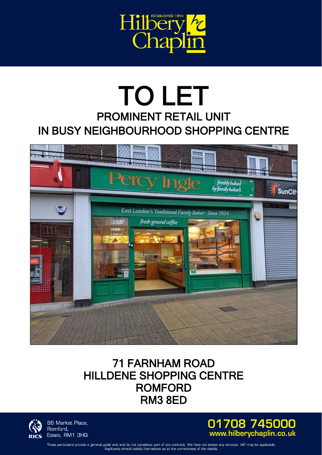

## TO LET PROMINENT RETAIL UNIT IN BUSY NEIGHBOURHOOD SHOPPING CENTRE



## 71 FARNHAM ROAD HILLDENE SHOPPING CENTRE ROMFORD RM3 8ED



86 Market Place, Romford, Essex, RM1 3HQ



These particulars provide a general guide only and do not constitute part of any contract. We have not tested any services. VAT may be applicable Applicants should satisfy themselves as to the correctness of the details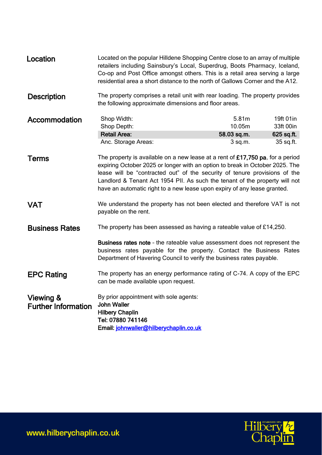| Location                                | Located on the popular Hilldene Shopping Centre close to an array of multiple<br>retailers including Sainsbury's Local, Superdrug, Boots Pharmacy, Iceland,<br>Co-op and Post Office amongst others. This is a retail area serving a large<br>residential area a short distance to the north of Gallows Corner and the A12.                                                                             |                                             |                                                     |
|-----------------------------------------|---------------------------------------------------------------------------------------------------------------------------------------------------------------------------------------------------------------------------------------------------------------------------------------------------------------------------------------------------------------------------------------------------------|---------------------------------------------|-----------------------------------------------------|
| <b>Description</b>                      | The property comprises a retail unit with rear loading. The property provides<br>the following approximate dimensions and floor areas.                                                                                                                                                                                                                                                                  |                                             |                                                     |
| Accommodation                           | Shop Width:<br>Shop Depth:<br><b>Retail Area:</b><br>Anc. Storage Areas:                                                                                                                                                                                                                                                                                                                                | 5.81m<br>10.05m<br>58.03 sq.m.<br>$3$ sq.m. | 19ft 01in<br>33ft 00in<br>$625$ sq.ft.<br>35 sq.ft. |
| Terms                                   | The property is available on a new lease at a rent of £17,750 pa, for a period<br>expiring October 2025 or longer with an option to break in October 2025. The<br>lease will be "contracted out" of the security of tenure provisions of the<br>Landlord & Tenant Act 1954 PII. As such the tenant of the property will not<br>have an automatic right to a new lease upon expiry of any lease granted. |                                             |                                                     |
| <b>VAT</b>                              | We understand the property has not been elected and therefore VAT is not<br>payable on the rent.                                                                                                                                                                                                                                                                                                        |                                             |                                                     |
| <b>Business Rates</b>                   | The property has been assessed as having a rateable value of £14,250.<br>Business rates note - the rateable value assessment does not represent the<br>business rates payable for the property. Contact the Business Rates<br>Department of Havering Council to verify the business rates payable.                                                                                                      |                                             |                                                     |
| <b>EPC Rating</b>                       | The property has an energy performance rating of C-74. A copy of the EPC<br>can be made available upon request.                                                                                                                                                                                                                                                                                         |                                             |                                                     |
| Viewing &<br><b>Further Information</b> | By prior appointment with sole agents:<br><b>John Waller</b><br><b>Hilbery Chaplin</b><br>Tel: 07880 741146<br>Email: johnwaller@hilberychaplin.co.uk                                                                                                                                                                                                                                                   |                                             |                                                     |

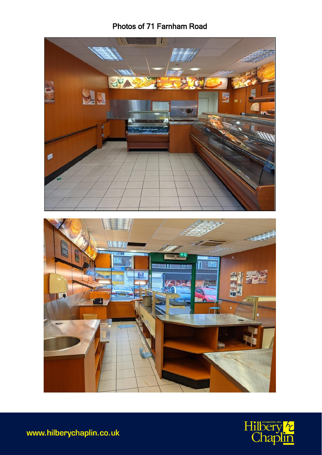## Photos of 71 Farnham Road





www.hilberychaplin.co.uk